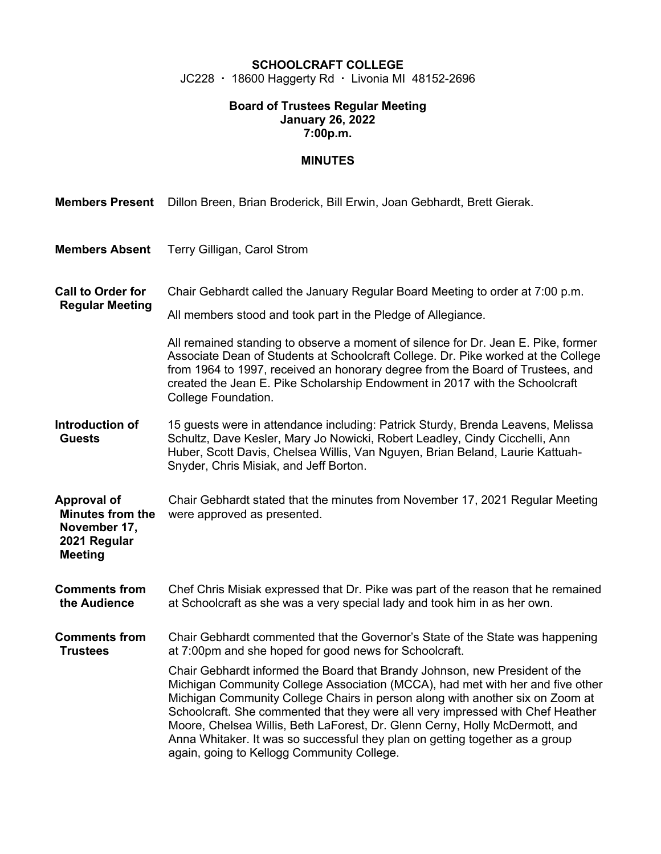## **SCHOOLCRAFT COLLEGE**

JC228 · 18600 Haggerty Rd · Livonia MI 48152-2696

#### **Board of Trustees Regular Meeting January 26, 2022 7:00p.m.**

## **MINUTES**

| <b>Members Present</b>                                                                          | Dillon Breen, Brian Broderick, Bill Erwin, Joan Gebhardt, Brett Gierak.                                                                                                                                                                                                                                                                                                                                                                                                                                                                       |  |  |
|-------------------------------------------------------------------------------------------------|-----------------------------------------------------------------------------------------------------------------------------------------------------------------------------------------------------------------------------------------------------------------------------------------------------------------------------------------------------------------------------------------------------------------------------------------------------------------------------------------------------------------------------------------------|--|--|
| <b>Members Absent</b>                                                                           | Terry Gilligan, Carol Strom                                                                                                                                                                                                                                                                                                                                                                                                                                                                                                                   |  |  |
| <b>Call to Order for</b><br><b>Regular Meeting</b>                                              | Chair Gebhardt called the January Regular Board Meeting to order at 7:00 p.m.<br>All members stood and took part in the Pledge of Allegiance.<br>All remained standing to observe a moment of silence for Dr. Jean E. Pike, former<br>Associate Dean of Students at Schoolcraft College. Dr. Pike worked at the College<br>from 1964 to 1997, received an honorary degree from the Board of Trustees, and<br>created the Jean E. Pike Scholarship Endowment in 2017 with the Schoolcraft<br>College Foundation.                               |  |  |
| Introduction of<br><b>Guests</b>                                                                | 15 guests were in attendance including: Patrick Sturdy, Brenda Leavens, Melissa<br>Schultz, Dave Kesler, Mary Jo Nowicki, Robert Leadley, Cindy Cicchelli, Ann<br>Huber, Scott Davis, Chelsea Willis, Van Nguyen, Brian Beland, Laurie Kattuah-<br>Snyder, Chris Misiak, and Jeff Borton.                                                                                                                                                                                                                                                     |  |  |
| <b>Approval of</b><br><b>Minutes from the</b><br>November 17,<br>2021 Regular<br><b>Meeting</b> | Chair Gebhardt stated that the minutes from November 17, 2021 Regular Meeting<br>were approved as presented.                                                                                                                                                                                                                                                                                                                                                                                                                                  |  |  |
| <b>Comments from</b><br>the Audience                                                            | Chef Chris Misiak expressed that Dr. Pike was part of the reason that he remained<br>at Schoolcraft as she was a very special lady and took him in as her own.                                                                                                                                                                                                                                                                                                                                                                                |  |  |
| <b>Comments from</b><br><b>Trustees</b>                                                         | Chair Gebhardt commented that the Governor's State of the State was happening<br>at 7:00pm and she hoped for good news for Schoolcraft.                                                                                                                                                                                                                                                                                                                                                                                                       |  |  |
|                                                                                                 | Chair Gebhardt informed the Board that Brandy Johnson, new President of the<br>Michigan Community College Association (MCCA), had met with her and five other<br>Michigan Community College Chairs in person along with another six on Zoom at<br>Schoolcraft. She commented that they were all very impressed with Chef Heather<br>Moore, Chelsea Willis, Beth LaForest, Dr. Glenn Cerny, Holly McDermott, and<br>Anna Whitaker. It was so successful they plan on getting together as a group<br>again, going to Kellogg Community College. |  |  |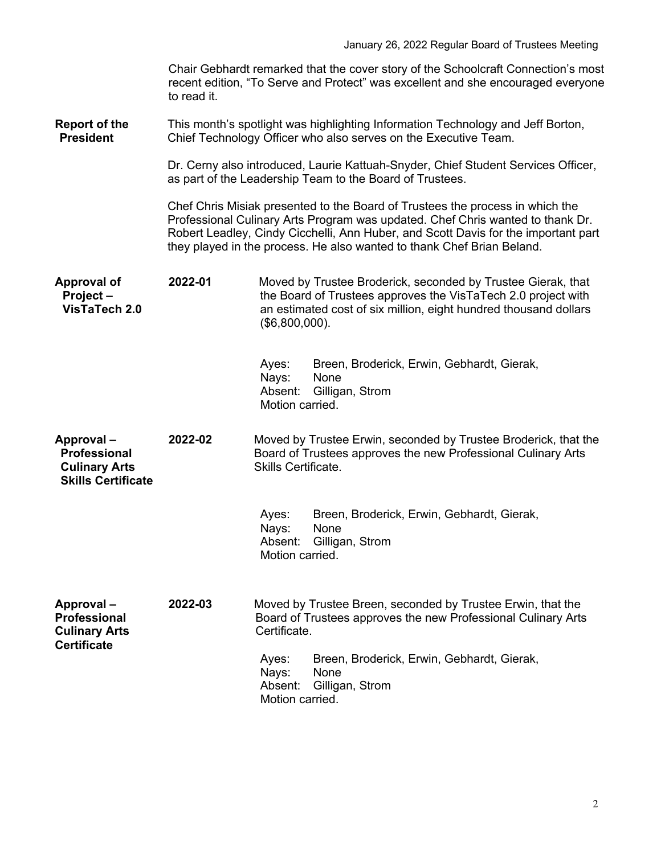|                                                                                | Chair Gebhardt remarked that the cover story of the Schoolcraft Connection's most<br>recent edition, "To Serve and Protect" was excellent and she encouraged everyone<br>to read it.                                                                                                                                            |                                                                                                                                                                                                                       |  |  |  |
|--------------------------------------------------------------------------------|---------------------------------------------------------------------------------------------------------------------------------------------------------------------------------------------------------------------------------------------------------------------------------------------------------------------------------|-----------------------------------------------------------------------------------------------------------------------------------------------------------------------------------------------------------------------|--|--|--|
| <b>Report of the</b><br><b>President</b>                                       | This month's spotlight was highlighting Information Technology and Jeff Borton,<br>Chief Technology Officer who also serves on the Executive Team.                                                                                                                                                                              |                                                                                                                                                                                                                       |  |  |  |
|                                                                                | Dr. Cerny also introduced, Laurie Kattuah-Snyder, Chief Student Services Officer,<br>as part of the Leadership Team to the Board of Trustees.                                                                                                                                                                                   |                                                                                                                                                                                                                       |  |  |  |
|                                                                                | Chef Chris Misiak presented to the Board of Trustees the process in which the<br>Professional Culinary Arts Program was updated. Chef Chris wanted to thank Dr.<br>Robert Leadley, Cindy Cicchelli, Ann Huber, and Scott Davis for the important part<br>they played in the process. He also wanted to thank Chef Brian Beland. |                                                                                                                                                                                                                       |  |  |  |
| <b>Approval of</b><br>Project-<br>VisTaTech 2.0                                | 2022-01                                                                                                                                                                                                                                                                                                                         | Moved by Trustee Broderick, seconded by Trustee Gierak, that<br>the Board of Trustees approves the VisTaTech 2.0 project with<br>an estimated cost of six million, eight hundred thousand dollars<br>$($6,800,000)$ . |  |  |  |
|                                                                                |                                                                                                                                                                                                                                                                                                                                 | Ayes:<br>Breen, Broderick, Erwin, Gebhardt, Gierak,<br>Nays:<br>None<br>Absent:<br>Gilligan, Strom<br>Motion carried.                                                                                                 |  |  |  |
| Approval-<br>Professional<br><b>Culinary Arts</b><br><b>Skills Certificate</b> | 2022-02                                                                                                                                                                                                                                                                                                                         | Moved by Trustee Erwin, seconded by Trustee Broderick, that the<br>Board of Trustees approves the new Professional Culinary Arts<br>Skills Certificate.                                                               |  |  |  |
|                                                                                |                                                                                                                                                                                                                                                                                                                                 | Breen, Broderick, Erwin, Gebhardt, Gierak,<br>Ayes:<br>Nays:<br>None<br>Absent: Gilligan, Strom<br>Motion carried.                                                                                                    |  |  |  |
| Approval-<br>Professional<br><b>Culinary Arts</b><br><b>Certificate</b>        | 2022-03                                                                                                                                                                                                                                                                                                                         | Moved by Trustee Breen, seconded by Trustee Erwin, that the<br>Board of Trustees approves the new Professional Culinary Arts<br>Certificate.                                                                          |  |  |  |
|                                                                                |                                                                                                                                                                                                                                                                                                                                 | Breen, Broderick, Erwin, Gebhardt, Gierak,<br>Ayes:<br>Nays:<br>None<br>Gilligan, Strom<br>Absent:<br>Motion carried.                                                                                                 |  |  |  |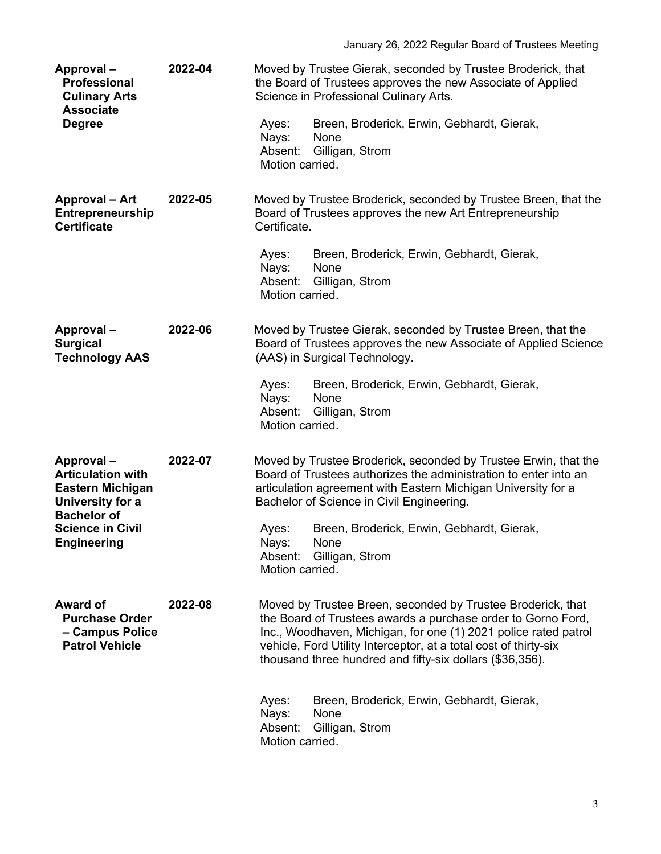| Approval-<br>Professional<br><b>Culinary Arts</b><br><b>Associate</b><br><b>Degree</b>                                                                      | 2022-04 | Ayes:<br>Nays:<br>Absent:<br>Motion carried. | Moved by Trustee Gierak, seconded by Trustee Broderick, that<br>the Board of Trustees approves the new Associate of Applied<br>Science in Professional Culinary Arts.<br>Breen, Broderick, Erwin, Gebhardt, Gierak,<br>None<br>Gilligan, Strom                                                                                 |
|-------------------------------------------------------------------------------------------------------------------------------------------------------------|---------|----------------------------------------------|--------------------------------------------------------------------------------------------------------------------------------------------------------------------------------------------------------------------------------------------------------------------------------------------------------------------------------|
| <b>Approval - Art</b><br>Entrepreneurship<br><b>Certificate</b>                                                                                             | 2022-05 | Certificate.                                 | Moved by Trustee Broderick, seconded by Trustee Breen, that the<br>Board of Trustees approves the new Art Entrepreneurship                                                                                                                                                                                                     |
|                                                                                                                                                             |         | Ayes:<br>Nays:<br>Absent:<br>Motion carried. | Breen, Broderick, Erwin, Gebhardt, Gierak,<br>None<br>Gilligan, Strom                                                                                                                                                                                                                                                          |
| Approval-<br><b>Surgical</b><br><b>Technology AAS</b>                                                                                                       | 2022-06 |                                              | Moved by Trustee Gierak, seconded by Trustee Breen, that the<br>Board of Trustees approves the new Associate of Applied Science<br>(AAS) in Surgical Technology.                                                                                                                                                               |
|                                                                                                                                                             |         | Ayes:<br>Nays:<br>Absent:<br>Motion carried. | Breen, Broderick, Erwin, Gebhardt, Gierak,<br>None<br>Gilligan, Strom                                                                                                                                                                                                                                                          |
| Approval-<br><b>Articulation with</b><br><b>Eastern Michigan</b><br>University for a<br><b>Bachelor of</b><br><b>Science in Civil</b><br><b>Engineering</b> | 2022-07 |                                              | Moved by Trustee Broderick, seconded by Trustee Erwin, that the<br>Board of Trustees authorizes the administration to enter into an<br>articulation agreement with Eastern Michigan University for a<br>Bachelor of Science in Civil Engineering.                                                                              |
|                                                                                                                                                             |         | Ayes:<br>Nays:<br>Motion carried.            | Breen, Broderick, Erwin, Gebhardt, Gierak,<br>None<br>Absent: Gilligan, Strom                                                                                                                                                                                                                                                  |
| Award of<br><b>Purchase Order</b><br>- Campus Police<br><b>Patrol Vehicle</b>                                                                               | 2022-08 |                                              | Moved by Trustee Breen, seconded by Trustee Broderick, that<br>the Board of Trustees awards a purchase order to Gorno Ford,<br>Inc., Woodhaven, Michigan, for one (1) 2021 police rated patrol<br>vehicle, Ford Utility Interceptor, at a total cost of thirty-six<br>thousand three hundred and fifty-six dollars (\$36,356). |
|                                                                                                                                                             |         | Ayes:<br>Nays:<br>Absent:<br>Motion carried. | Breen, Broderick, Erwin, Gebhardt, Gierak,<br>None<br>Gilligan, Strom                                                                                                                                                                                                                                                          |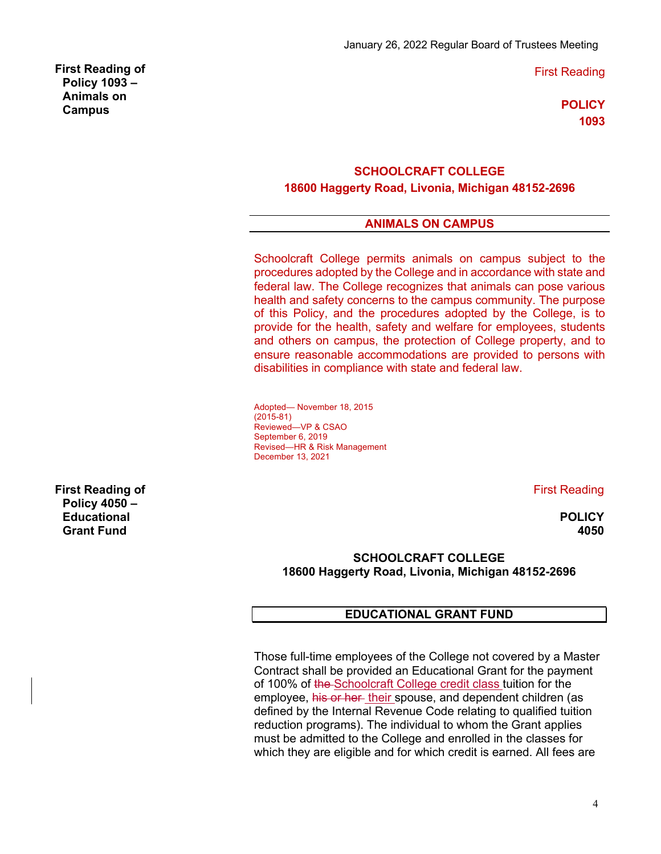First Reading

**POLICY 1093**

### **SCHOOLCRAFT COLLEGE 18600 Haggerty Road, Livonia, Michigan 48152-2696**

# **ANIMALS ON CAMPUS**

Schoolcraft College permits animals on campus subject to the procedures adopted by the College and in accordance with state and federal law. The College recognizes that animals can pose various health and safety concerns to the campus community. The purpose of this Policy, and the procedures adopted by the College, is to provide for the health, safety and welfare for employees, students and others on campus, the protection of College property, and to ensure reasonable accommodations are provided to persons with disabilities in compliance with state and federal law.

Adopted— November 18, 2015 (2015-81) Reviewed—VP & CSAO September 6, 2019 Revised—HR & Risk Management December 13, 2021

First Reading

**POLICY 4050**

## **SCHOOLCRAFT COLLEGE 18600 Haggerty Road, Livonia, Michigan 48152-2696**

## **EDUCATIONAL GRANT FUND**

Those full-time employees of the College not covered by a Master Contract shall be provided an Educational Grant for the payment of 100% of the Schoolcraft College credit class tuition for the employee, his or her their spouse, and dependent children (as defined by the Internal Revenue Code relating to qualified tuition reduction programs). The individual to whom the Grant applies must be admitted to the College and enrolled in the classes for which they are eligible and for which credit is earned. All fees are

**First Reading of Policy 4050 – Educational Grant Fund**

**First Reading of Policy 1093 – Animals on Campus**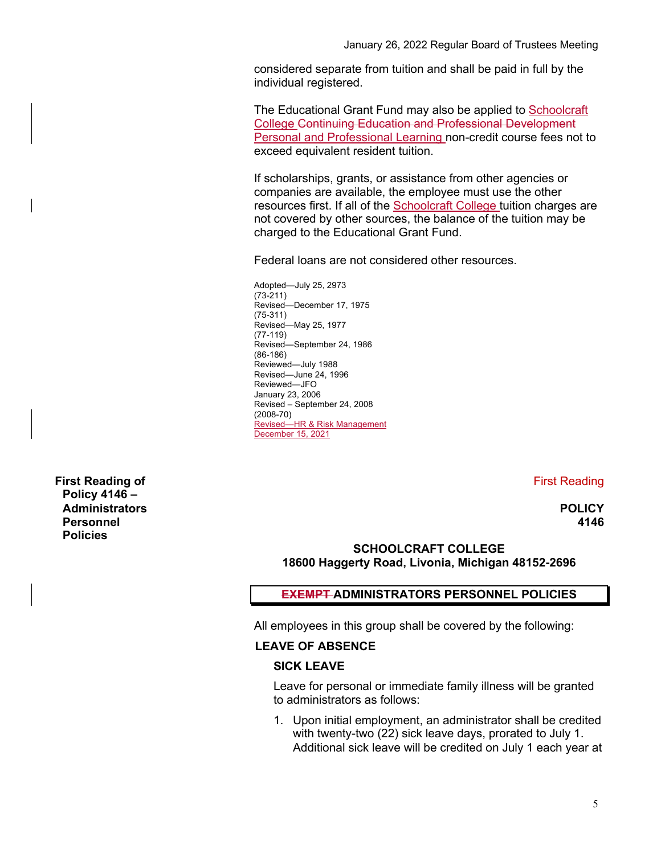considered separate from tuition and shall be paid in full by the individual registered.

The Educational Grant Fund may also be applied to Schoolcraft College Continuing Education and Professional Development Personal and Professional Learning non-credit course fees not to exceed equivalent resident tuition.

If scholarships, grants, or assistance from other agencies or companies are available, the employee must use the other resources first. If all of the Schoolcraft College tuition charges are not covered by other sources, the balance of the tuition may be charged to the Educational Grant Fund.

Federal loans are not considered other resources.

Adopted—July 25, 2973 (73-211) Revised—December 17, 1975 (75-311) Revised—May 25, 1977 (77-119) Revised—September 24, 1986 (86-186) Reviewed—July 1988 Revised—June 24, 1996 Reviewed—JFO January 23, 2006 Revised – September 24, 2008 (2008-70) Revised—HR & Risk Management December 15, 2021

First Reading

**POLICY 4146**

## **SCHOOLCRAFT COLLEGE 18600 Haggerty Road, Livonia, Michigan 48152-2696**

## **EXEMPT ADMINISTRATORS PERSONNEL POLICIES**

All employees in this group shall be covered by the following:

#### **LEAVE OF ABSENCE**

#### **SICK LEAVE**

Leave for personal or immediate family illness will be granted to administrators as follows:

1. Upon initial employment, an administrator shall be credited with twenty-two (22) sick leave days, prorated to July 1. Additional sick leave will be credited on July 1 each year at

**First Reading of Policy 4146 – Administrators Personnel Policies**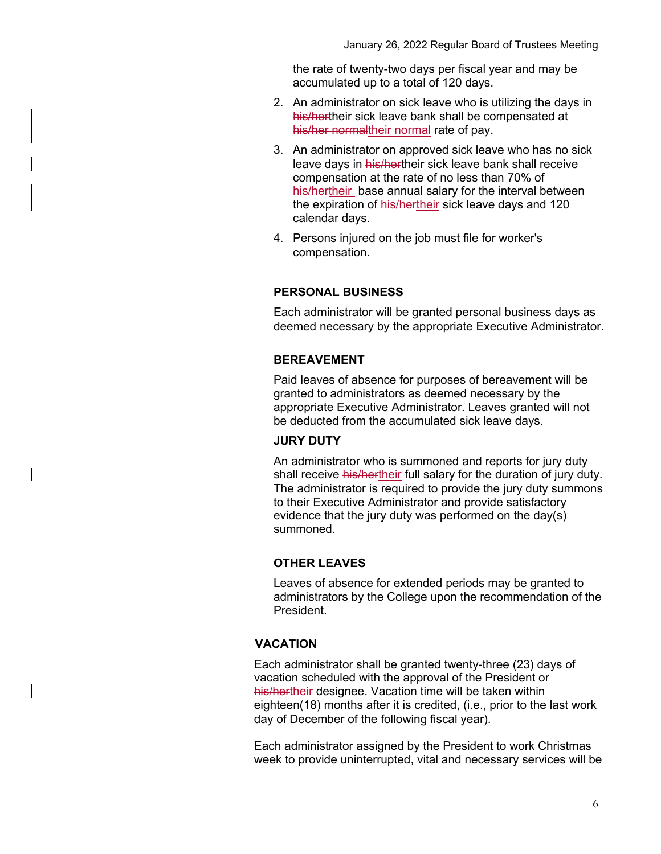the rate of twenty-two days per fiscal year and may be accumulated up to a total of 120 days.

- 2. An administrator on sick leave who is utilizing the days in his/hertheir sick leave bank shall be compensated at his/her normaltheir normal rate of pay.
- 3. An administrator on approved sick leave who has no sick leave days in his/hertheir sick leave bank shall receive compensation at the rate of no less than 70% of his/hertheir -base annual salary for the interval between the expiration of his/hertheir sick leave days and 120 calendar days.
- 4. Persons injured on the job must file for worker's compensation.

#### **PERSONAL BUSINESS**

Each administrator will be granted personal business days as deemed necessary by the appropriate Executive Administrator.

#### **BEREAVEMENT**

Paid leaves of absence for purposes of bereavement will be granted to administrators as deemed necessary by the appropriate Executive Administrator. Leaves granted will not be deducted from the accumulated sick leave days.

#### **JURY DUTY**

An administrator who is summoned and reports for jury duty shall receive his/hertheir full salary for the duration of jury duty. The administrator is required to provide the jury duty summons to their Executive Administrator and provide satisfactory evidence that the jury duty was performed on the day(s) summoned.

#### **OTHER LEAVES**

Leaves of absence for extended periods may be granted to administrators by the College upon the recommendation of the President.

#### **VACATION**

Each administrator shall be granted twenty-three (23) days of vacation scheduled with the approval of the President or his/hertheir designee. Vacation time will be taken within eighteen(18) months after it is credited, (i.e., prior to the last work day of December of the following fiscal year).

Each administrator assigned by the President to work Christmas week to provide uninterrupted, vital and necessary services will be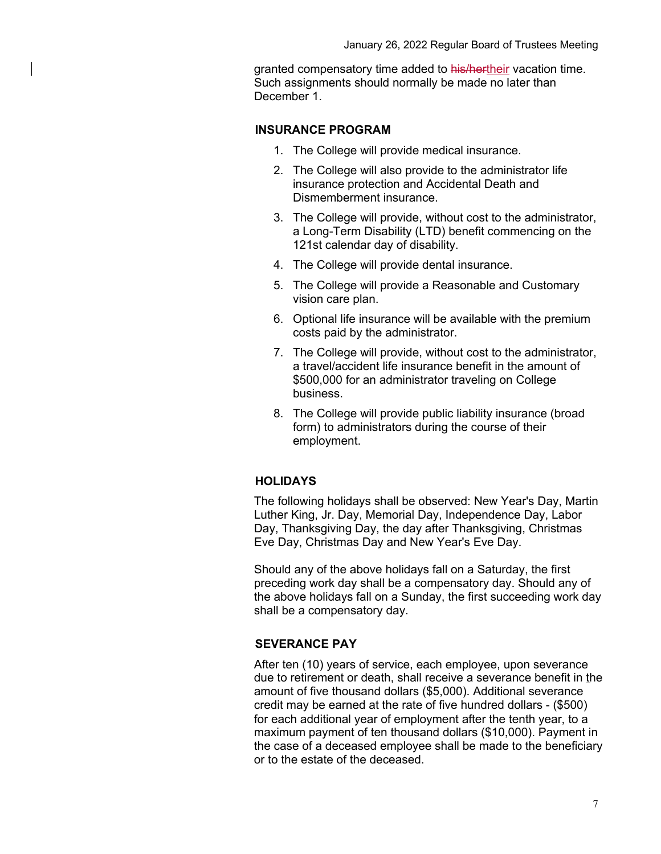granted compensatory time added to his/hertheir vacation time. Such assignments should normally be made no later than December 1.

#### **INSURANCE PROGRAM**

- 1. The College will provide medical insurance.
- 2. The College will also provide to the administrator life insurance protection and Accidental Death and Dismemberment insurance.
- 3. The College will provide, without cost to the administrator, a Long-Term Disability (LTD) benefit commencing on the 121st calendar day of disability.
- 4. The College will provide dental insurance.
- 5. The College will provide a Reasonable and Customary vision care plan.
- 6. Optional life insurance will be available with the premium costs paid by the administrator.
- 7. The College will provide, without cost to the administrator, a travel/accident life insurance benefit in the amount of \$500,000 for an administrator traveling on College business.
- 8. The College will provide public liability insurance (broad form) to administrators during the course of their employment.

## **HOLIDAYS**

The following holidays shall be observed: New Year's Day, Martin Luther King, Jr. Day, Memorial Day, Independence Day, Labor Day, Thanksgiving Day, the day after Thanksgiving, Christmas Eve Day, Christmas Day and New Year's Eve Day.

Should any of the above holidays fall on a Saturday, the first preceding work day shall be a compensatory day. Should any of the above holidays fall on a Sunday, the first succeeding work day shall be a compensatory day.

## **SEVERANCE PAY**

After ten (10) years of service, each employee, upon severance due to retirement or death, shall receive a severance benefit in the amount of five thousand dollars (\$5,000). Additional severance credit may be earned at the rate of five hundred dollars - (\$500) for each additional year of employment after the tenth year, to a maximum payment of ten thousand dollars (\$10,000). Payment in the case of a deceased employee shall be made to the beneficiary or to the estate of the deceased.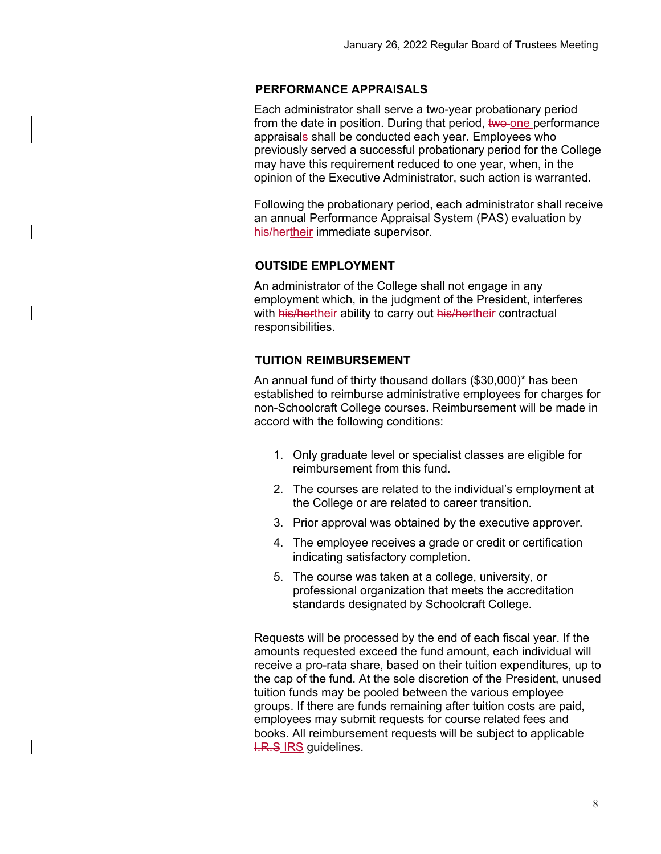## **PERFORMANCE APPRAISALS**

Each administrator shall serve a two-year probationary period from the date in position. During that period, two one performance appraisals shall be conducted each year. Employees who previously served a successful probationary period for the College may have this requirement reduced to one year, when, in the opinion of the Executive Administrator, such action is warranted.

Following the probationary period, each administrator shall receive an annual Performance Appraisal System (PAS) evaluation by his/hertheir immediate supervisor.

#### **OUTSIDE EMPLOYMENT**

An administrator of the College shall not engage in any employment which, in the judgment of the President, interferes with his/hertheir ability to carry out his/hertheir contractual responsibilities.

#### **TUITION REIMBURSEMENT**

An annual fund of thirty thousand dollars (\$30,000)\* has been established to reimburse administrative employees for charges for non-Schoolcraft College courses. Reimbursement will be made in accord with the following conditions:

- 1. Only graduate level or specialist classes are eligible for reimbursement from this fund.
- 2. The courses are related to the individual's employment at the College or are related to career transition.
- 3. Prior approval was obtained by the executive approver.
- 4. The employee receives a grade or credit or certification indicating satisfactory completion.
- 5. The course was taken at a college, university, or professional organization that meets the accreditation standards designated by Schoolcraft College.

Requests will be processed by the end of each fiscal year. If the amounts requested exceed the fund amount, each individual will receive a pro-rata share, based on their tuition expenditures, up to the cap of the fund. At the sole discretion of the President, unused tuition funds may be pooled between the various employee groups. If there are funds remaining after tuition costs are paid, employees may submit requests for course related fees and books. All reimbursement requests will be subject to applicable **I.R.S IRS guidelines.**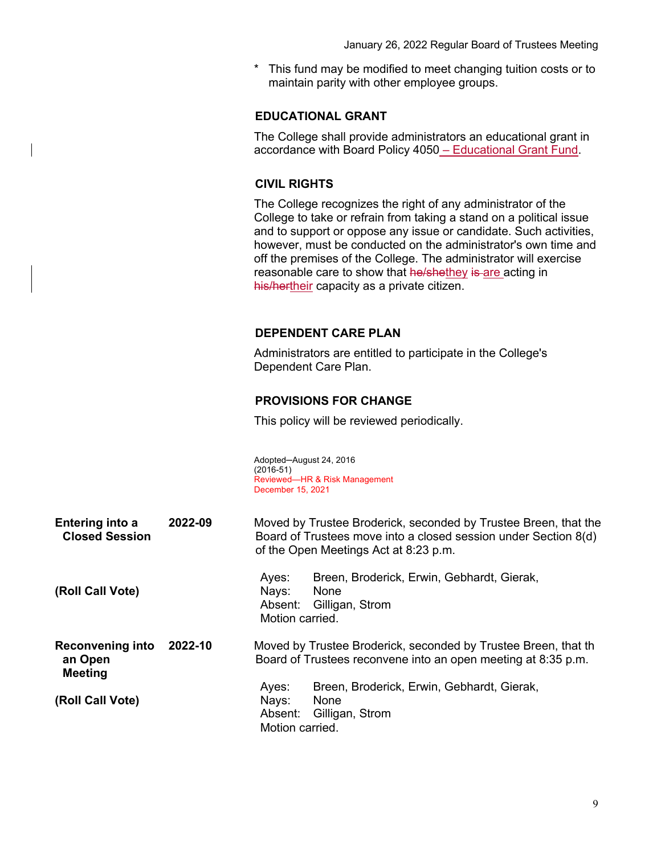This fund may be modified to meet changing tuition costs or to maintain parity with other employee groups.

#### **EDUCATIONAL GRANT**

The College shall provide administrators an educational grant in accordance with Board Policy 4050 – Educational Grant Fund.

## **CIVIL RIGHTS**

The College recognizes the right of any administrator of the College to take or refrain from taking a stand on a political issue and to support or oppose any issue or candidate. Such activities, however, must be conducted on the administrator's own time and off the premises of the College. The administrator will exercise reasonable care to show that he/shethey is are acting in his/hertheir capacity as a private citizen.

#### **DEPENDENT CARE PLAN**

Administrators are entitled to participate in the College's Dependent Care Plan.

#### **PROVISIONS FOR CHANGE**

This policy will be reviewed periodically.

Adopted─August 24, 2016 (2016-51) Reviewed—HR & Risk Management December 15, 2021

| <b>Entering into a</b> | 2022-09 | Moved by Trustee Broderick, seconded by Trustee Breen, that the |
|------------------------|---------|-----------------------------------------------------------------|
| <b>Closed Session</b>  |         | Board of Trustees move into a closed session under Section 8(d) |
|                        |         | of the Open Meetings Act at 8:23 p.m.                           |

|                  | Aves:           | Breen, Broderick, Erwin, Gebhardt, Gierak, |
|------------------|-----------------|--------------------------------------------|
| (Roll Call Vote) | Navs:           | <b>None</b>                                |
|                  |                 | Absent: Gilligan, Strom                    |
|                  | Motion carried. |                                            |
|                  |                 |                                            |

**Reconvening into an Open Meeting 2022-10** Moved by Trustee Broderick, seconded by Trustee Breen, that th Board of Trustees reconvene into an open meeting at 8:35 p.m.

**(Roll Call Vote)** Ayes: Breen, Broderick, Erwin, Gebhardt, Gierak, Nays: None Absent: Gilligan, Strom Motion carried.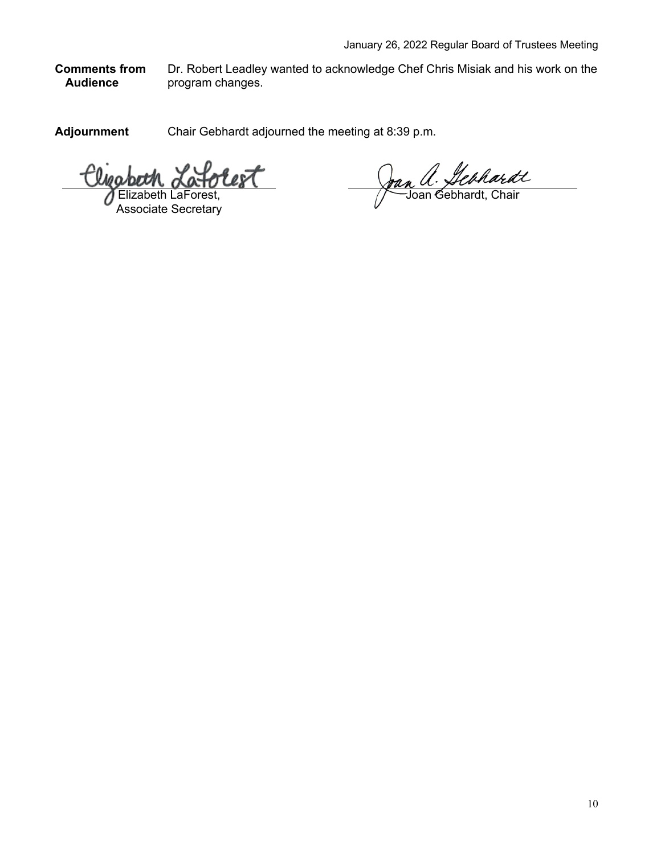**Comments from Audience** Dr. Robert Leadley wanted to acknowledge Chef Chris Misiak and his work on the program changes.

**Adjournment** Chair Gebhardt adjourned the meeting at 8:39 p.m.

'olest beth LaForest,

Associate Secretary

Joan a. Hebhardt